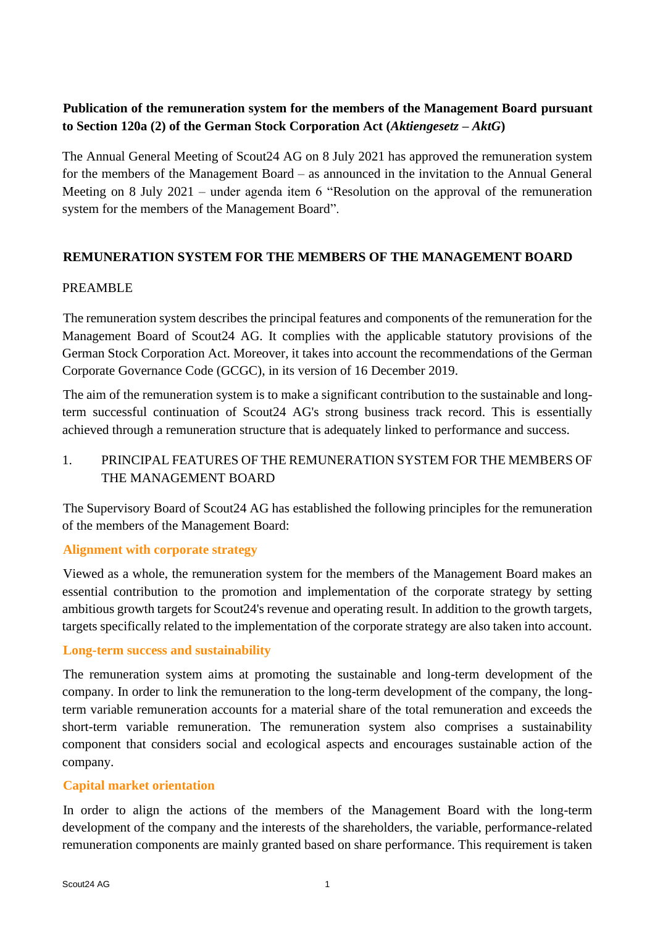# **Publication of the remuneration system for the members of the Management Board pursuant to Section 120a (2) of the German Stock Corporation Act (***Aktiengesetz – AktG***)**

The Annual General Meeting of Scout24 AG on 8 July 2021 has approved the remuneration system for the members of the Management Board – as announced in the invitation to the Annual General Meeting on 8 July 2021 – under agenda item 6 "Resolution on the approval of the remuneration system for the members of the Management Board".

## **REMUNERATION SYSTEM FOR THE MEMBERS OF THE MANAGEMENT BOARD**

## PREAMBLE

The remuneration system describes the principal features and components of the remuneration for the Management Board of Scout24 AG. It complies with the applicable statutory provisions of the German Stock Corporation Act. Moreover, it takes into account the recommendations of the German Corporate Governance Code (GCGC), in its version of 16 December 2019.

The aim of the remuneration system is to make a significant contribution to the sustainable and longterm successful continuation of Scout24 AG's strong business track record. This is essentially achieved through a remuneration structure that is adequately linked to performance and success.

# 1. PRINCIPAL FEATURES OF THE REMUNERATION SYSTEM FOR THE MEMBERS OF THE MANAGEMENT BOARD

The Supervisory Board of Scout24 AG has established the following principles for the remuneration of the members of the Management Board:

### **Alignment with corporate strategy**

Viewed as a whole, the remuneration system for the members of the Management Board makes an essential contribution to the promotion and implementation of the corporate strategy by setting ambitious growth targets for Scout24's revenue and operating result. In addition to the growth targets, targets specifically related to the implementation of the corporate strategy are also taken into account.

### **Long-term success and sustainability**

The remuneration system aims at promoting the sustainable and long-term development of the company. In order to link the remuneration to the long-term development of the company, the longterm variable remuneration accounts for a material share of the total remuneration and exceeds the short-term variable remuneration. The remuneration system also comprises a sustainability component that considers social and ecological aspects and encourages sustainable action of the company.

### **Capital market orientation**

In order to align the actions of the members of the Management Board with the long-term development of the company and the interests of the shareholders, the variable, performance-related remuneration components are mainly granted based on share performance. This requirement is taken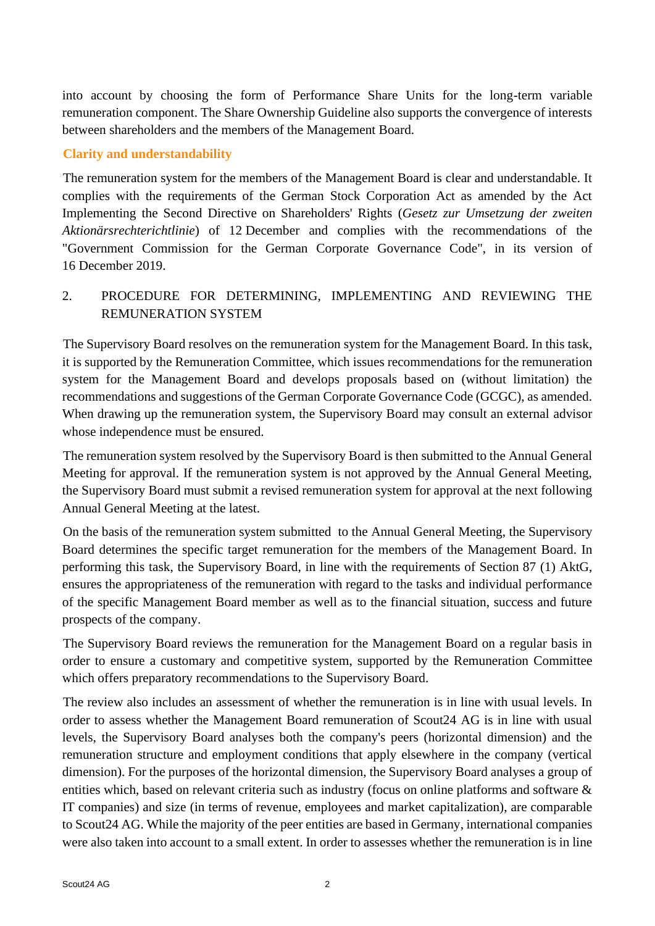into account by choosing the form of Performance Share Units for the long-term variable remuneration component. The Share Ownership Guideline also supports the convergence of interests between shareholders and the members of the Management Board.

#### **Clarity and understandability**

The remuneration system for the members of the Management Board is clear and understandable. It complies with the requirements of the German Stock Corporation Act as amended by the Act Implementing the Second Directive on Shareholders' Rights (*Gesetz zur Umsetzung der zweiten Aktionärsrechterichtlinie*) of 12 December and complies with the recommendations of the "Government Commission for the German Corporate Governance Code", in its version of 16 December 2019.

# 2. PROCEDURE FOR DETERMINING, IMPLEMENTING AND REVIEWING THE REMUNERATION SYSTEM

The Supervisory Board resolves on the remuneration system for the Management Board. In this task, it is supported by the Remuneration Committee, which issues recommendations for the remuneration system for the Management Board and develops proposals based on (without limitation) the recommendations and suggestions of the German Corporate Governance Code (GCGC), as amended. When drawing up the remuneration system, the Supervisory Board may consult an external advisor whose independence must be ensured.

The remuneration system resolved by the Supervisory Board is then submitted to the Annual General Meeting for approval. If the remuneration system is not approved by the Annual General Meeting, the Supervisory Board must submit a revised remuneration system for approval at the next following Annual General Meeting at the latest.

On the basis of the remuneration system submitted to the Annual General Meeting, the Supervisory Board determines the specific target remuneration for the members of the Management Board. In performing this task, the Supervisory Board, in line with the requirements of Section 87 (1) AktG, ensures the appropriateness of the remuneration with regard to the tasks and individual performance of the specific Management Board member as well as to the financial situation, success and future prospects of the company.

The Supervisory Board reviews the remuneration for the Management Board on a regular basis in order to ensure a customary and competitive system, supported by the Remuneration Committee which offers preparatory recommendations to the Supervisory Board.

The review also includes an assessment of whether the remuneration is in line with usual levels. In order to assess whether the Management Board remuneration of Scout24 AG is in line with usual levels, the Supervisory Board analyses both the company's peers (horizontal dimension) and the remuneration structure and employment conditions that apply elsewhere in the company (vertical dimension). For the purposes of the horizontal dimension, the Supervisory Board analyses a group of entities which, based on relevant criteria such as industry (focus on online platforms and software & IT companies) and size (in terms of revenue, employees and market capitalization), are comparable to Scout24 AG. While the majority of the peer entities are based in Germany, international companies were also taken into account to a small extent. In order to assesses whether the remuneration is in line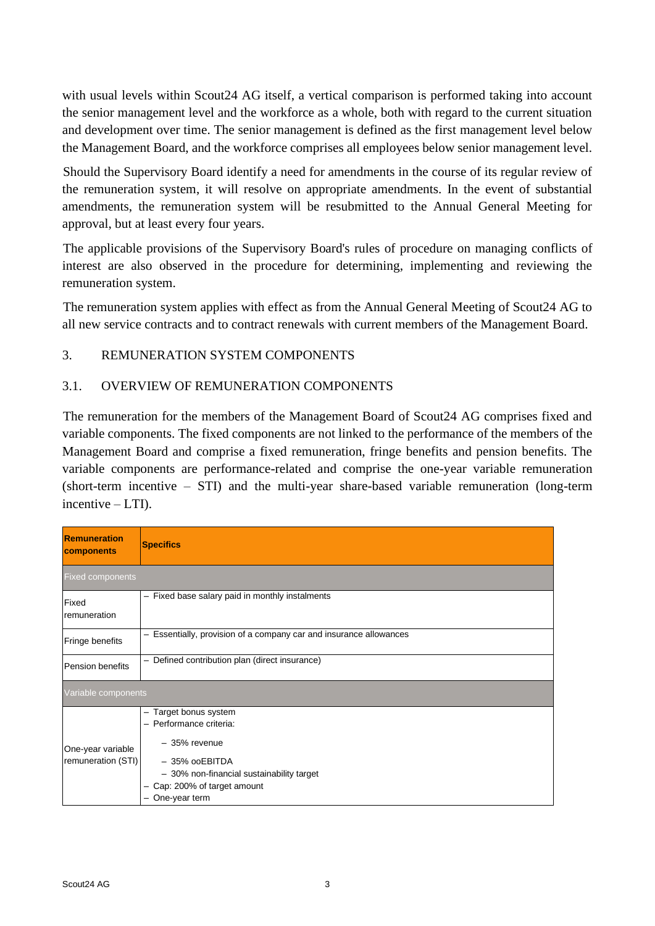with usual levels within Scout<sub>24</sub> AG itself, a vertical comparison is performed taking into account the senior management level and the workforce as a whole, both with regard to the current situation and development over time. The senior management is defined as the first management level below the Management Board, and the workforce comprises all employees below senior management level.

Should the Supervisory Board identify a need for amendments in the course of its regular review of the remuneration system, it will resolve on appropriate amendments. In the event of substantial amendments, the remuneration system will be resubmitted to the Annual General Meeting for approval, but at least every four years.

The applicable provisions of the Supervisory Board's rules of procedure on managing conflicts of interest are also observed in the procedure for determining, implementing and reviewing the remuneration system.

The remuneration system applies with effect as from the Annual General Meeting of Scout24 AG to all new service contracts and to contract renewals with current members of the Management Board.

### 3. REMUNERATION SYSTEM COMPONENTS

#### 3.1. OVERVIEW OF REMUNERATION COMPONENTS

The remuneration for the members of the Management Board of Scout24 AG comprises fixed and variable components. The fixed components are not linked to the performance of the members of the Management Board and comprise a fixed remuneration, fringe benefits and pension benefits. The variable components are performance-related and comprise the one-year variable remuneration (short-term incentive – STI) and the multi-year share-based variable remuneration (long-term incentive  $-LTD$ .

| Remuneration<br><b>components</b>       | <b>Specifics</b>                                                   |  |  |  |  |  |
|-----------------------------------------|--------------------------------------------------------------------|--|--|--|--|--|
| <b>Fixed components</b>                 |                                                                    |  |  |  |  |  |
| Fixed<br>remuneration                   | - Fixed base salary paid in monthly instalments                    |  |  |  |  |  |
| Fringe benefits                         | - Essentially, provision of a company car and insurance allowances |  |  |  |  |  |
| Pension benefits                        | - Defined contribution plan (direct insurance)                     |  |  |  |  |  |
| Variable components                     |                                                                    |  |  |  |  |  |
| One-year variable<br>remuneration (STI) | - Target bonus system                                              |  |  |  |  |  |
|                                         | - Performance criteria:                                            |  |  |  |  |  |
|                                         | $-35%$ revenue                                                     |  |  |  |  |  |
|                                         | - 35% ooEBITDA                                                     |  |  |  |  |  |
|                                         | - 30% non-financial sustainability target                          |  |  |  |  |  |
|                                         | Cap: 200% of target amount                                         |  |  |  |  |  |
|                                         | - One-year term                                                    |  |  |  |  |  |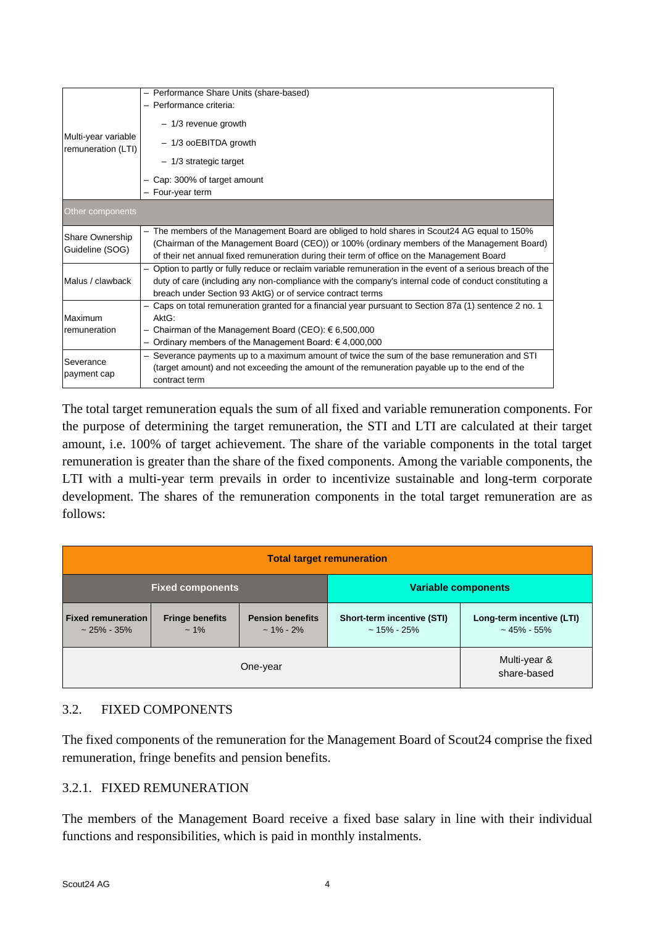| Multi-year variable<br>remuneration (LTI) | - Performance Share Units (share-based)<br>- Performance criteria:<br>$-1/3$ revenue growth<br>- 1/3 ooEBITDA growth<br>$-1/3$ strategic target<br>Cap: 300% of target amount                                                                                                             |  |  |  |  |  |
|-------------------------------------------|-------------------------------------------------------------------------------------------------------------------------------------------------------------------------------------------------------------------------------------------------------------------------------------------|--|--|--|--|--|
|                                           | - Four-year term                                                                                                                                                                                                                                                                          |  |  |  |  |  |
| Other components                          |                                                                                                                                                                                                                                                                                           |  |  |  |  |  |
| Share Ownership<br>Guideline (SOG)        | - The members of the Management Board are obliged to hold shares in Scout24 AG equal to 150%<br>(Chairman of the Management Board (CEO)) or 100% (ordinary members of the Management Board)<br>of their net annual fixed remuneration during their term of office on the Management Board |  |  |  |  |  |
| Malus / clawback                          | - Option to partly or fully reduce or reclaim variable remuneration in the event of a serious breach of the<br>duty of care (including any non-compliance with the company's internal code of conduct constituting a<br>breach under Section 93 AktG) or of service contract terms        |  |  |  |  |  |
| Maximum<br>remuneration                   | Caps on total remuneration granted for a financial year pursuant to Section 87a (1) sentence 2 no. 1<br>AktG.<br>- Chairman of the Management Board (CEO): € 6,500,000<br>- Ordinary members of the Management Board: €4,000,000                                                          |  |  |  |  |  |
| Severance<br>payment cap                  | Severance payments up to a maximum amount of twice the sum of the base remuneration and STI<br>(target amount) and not exceeding the amount of the remuneration payable up to the end of the<br>contract term                                                                             |  |  |  |  |  |

The total target remuneration equals the sum of all fixed and variable remuneration components. For the purpose of determining the target remuneration, the STI and LTI are calculated at their target amount, i.e. 100% of target achievement. The share of the variable components in the total target remuneration is greater than the share of the fixed components. Among the variable components, the LTI with a multi-year term prevails in order to incentivize sustainable and long-term corporate development. The shares of the remuneration components in the total target remuneration are as follows:

| <b>Total target remuneration</b>              |                                  |                                           |                                                    |                                            |  |  |
|-----------------------------------------------|----------------------------------|-------------------------------------------|----------------------------------------------------|--------------------------------------------|--|--|
| <b>Fixed components</b>                       |                                  |                                           | <b>Variable components</b>                         |                                            |  |  |
| <b>Fixed remuneration</b><br>$\sim$ 25% - 35% | <b>Fringe benefits</b><br>$~1\%$ | <b>Pension benefits</b><br>$\sim$ 1% - 2% | <b>Short-term incentive (STI)</b><br>$~15\%$ - 25% | Long-term incentive (LTI)<br>$~15\%$ - 55% |  |  |
|                                               | Multi-year &<br>share-based      |                                           |                                                    |                                            |  |  |

### 3.2. FIXED COMPONENTS

The fixed components of the remuneration for the Management Board of Scout24 comprise the fixed remuneration, fringe benefits and pension benefits.

### 3.2.1. FIXED REMUNERATION

The members of the Management Board receive a fixed base salary in line with their individual functions and responsibilities, which is paid in monthly instalments.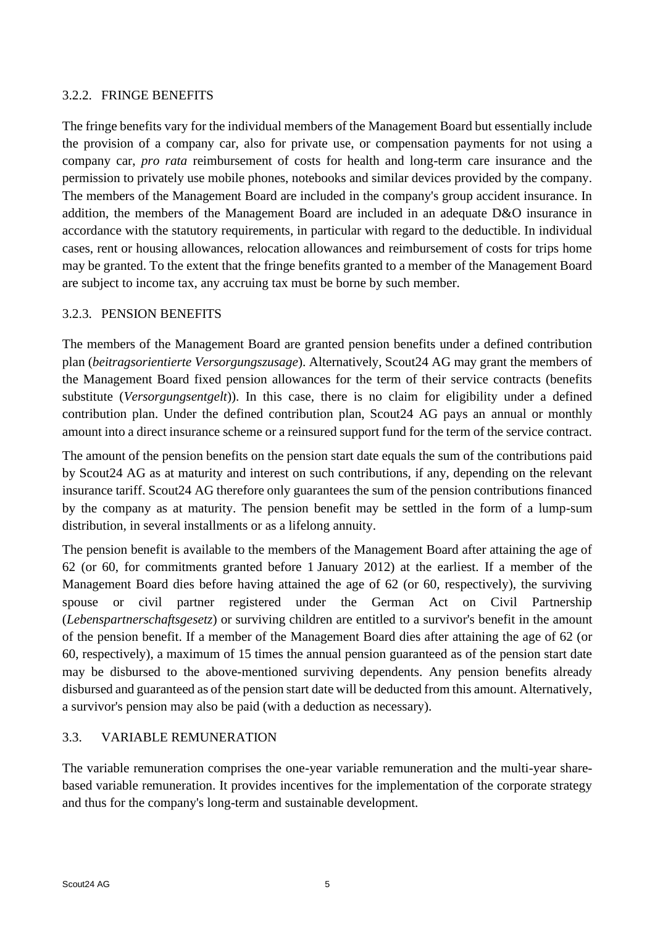### 3.2.2. FRINGE BENEFITS

The fringe benefits vary for the individual members of the Management Board but essentially include the provision of a company car, also for private use, or compensation payments for not using a company car, *pro rata* reimbursement of costs for health and long-term care insurance and the permission to privately use mobile phones, notebooks and similar devices provided by the company. The members of the Management Board are included in the company's group accident insurance. In addition, the members of the Management Board are included in an adequate D&O insurance in accordance with the statutory requirements, in particular with regard to the deductible. In individual cases, rent or housing allowances, relocation allowances and reimbursement of costs for trips home may be granted. To the extent that the fringe benefits granted to a member of the Management Board are subject to income tax, any accruing tax must be borne by such member.

#### 3.2.3. PENSION BENEFITS

The members of the Management Board are granted pension benefits under a defined contribution plan (*beitragsorientierte Versorgungszusage*). Alternatively, Scout24 AG may grant the members of the Management Board fixed pension allowances for the term of their service contracts (benefits substitute (*Versorgungsentgelt*)). In this case, there is no claim for eligibility under a defined contribution plan. Under the defined contribution plan, Scout24 AG pays an annual or monthly amount into a direct insurance scheme or a reinsured support fund for the term of the service contract.

The amount of the pension benefits on the pension start date equals the sum of the contributions paid by Scout24 AG as at maturity and interest on such contributions, if any, depending on the relevant insurance tariff. Scout24 AG therefore only guarantees the sum of the pension contributions financed by the company as at maturity. The pension benefit may be settled in the form of a lump-sum distribution, in several installments or as a lifelong annuity.

The pension benefit is available to the members of the Management Board after attaining the age of 62 (or 60, for commitments granted before 1 January 2012) at the earliest. If a member of the Management Board dies before having attained the age of 62 (or 60, respectively), the surviving spouse or civil partner registered under the German Act on Civil Partnership (*Lebenspartnerschaftsgesetz*) or surviving children are entitled to a survivor's benefit in the amount of the pension benefit. If a member of the Management Board dies after attaining the age of 62 (or 60, respectively), a maximum of 15 times the annual pension guaranteed as of the pension start date may be disbursed to the above-mentioned surviving dependents. Any pension benefits already disbursed and guaranteed as of the pension start date will be deducted from this amount. Alternatively, a survivor's pension may also be paid (with a deduction as necessary).

### 3.3. VARIABLE REMUNERATION

The variable remuneration comprises the one-year variable remuneration and the multi-year sharebased variable remuneration. It provides incentives for the implementation of the corporate strategy and thus for the company's long-term and sustainable development.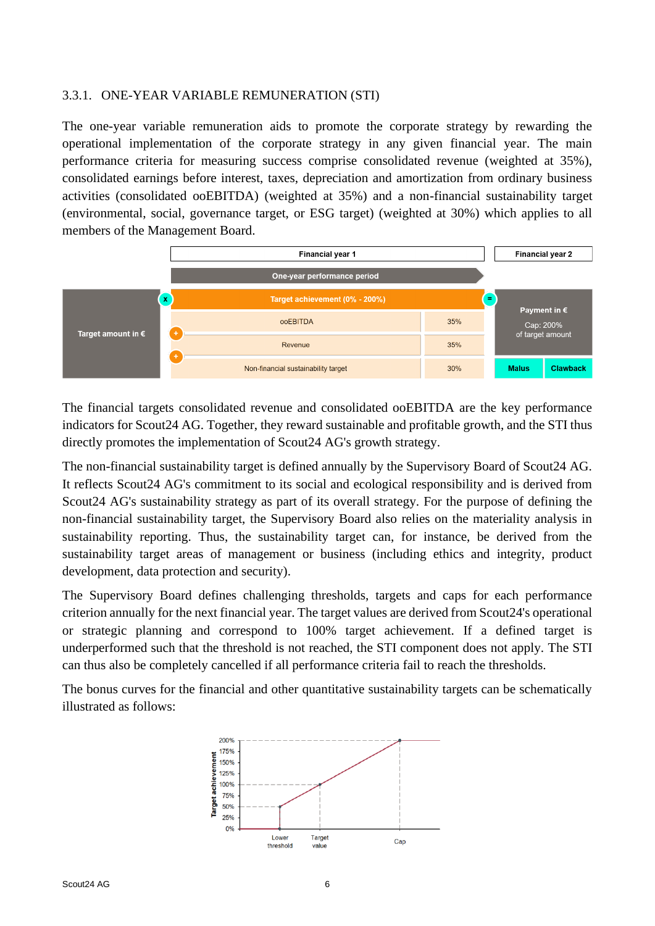#### 3.3.1. ONE-YEAR VARIABLE REMUNERATION (STI)

The one-year variable remuneration aids to promote the corporate strategy by rewarding the operational implementation of the corporate strategy in any given financial year. The main performance criteria for measuring success comprise consolidated revenue (weighted at 35%), consolidated earnings before interest, taxes, depreciation and amortization from ordinary business activities (consolidated ooEBITDA) (weighted at 35%) and a non-financial sustainability target (environmental, social, governance target, or ESG target) (weighted at 30%) which applies to all members of the Management Board.



The financial targets consolidated revenue and consolidated ooEBITDA are the key performance indicators for Scout24 AG. Together, they reward sustainable and profitable growth, and the STI thus directly promotes the implementation of Scout24 AG's growth strategy.

The non-financial sustainability target is defined annually by the Supervisory Board of Scout24 AG. It reflects Scout24 AG's commitment to its social and ecological responsibility and is derived from Scout24 AG's sustainability strategy as part of its overall strategy. For the purpose of defining the non-financial sustainability target, the Supervisory Board also relies on the materiality analysis in sustainability reporting. Thus, the sustainability target can, for instance, be derived from the sustainability target areas of management or business (including ethics and integrity, product development, data protection and security).

The Supervisory Board defines challenging thresholds, targets and caps for each performance criterion annually for the next financial year. The target values are derived from Scout24's operational or strategic planning and correspond to 100% target achievement. If a defined target is underperformed such that the threshold is not reached, the STI component does not apply. The STI can thus also be completely cancelled if all performance criteria fail to reach the thresholds.

The bonus curves for the financial and other quantitative sustainability targets can be schematically illustrated as follows:

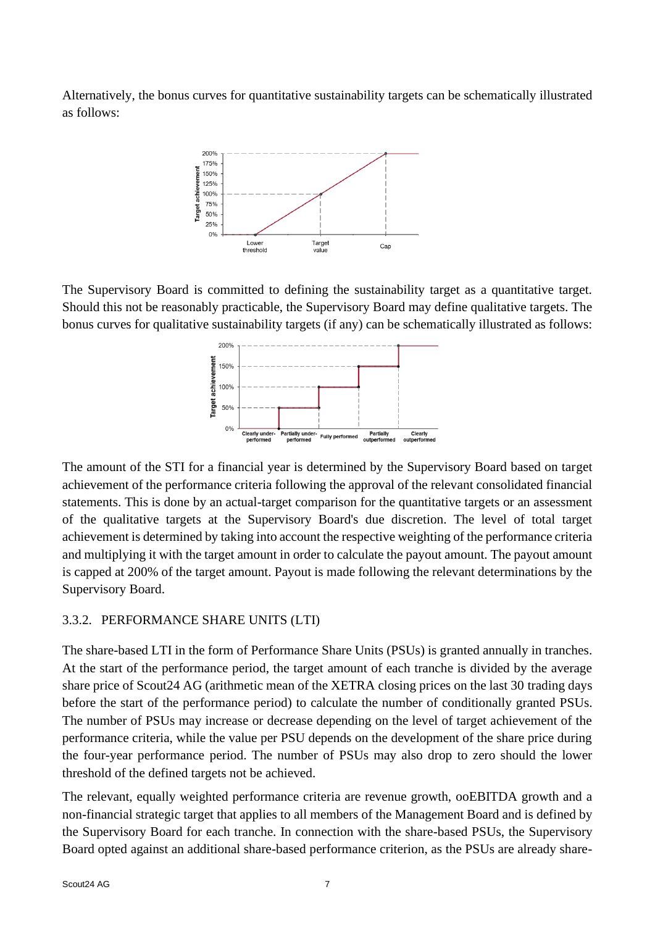Alternatively, the bonus curves for quantitative sustainability targets can be schematically illustrated as follows:



The Supervisory Board is committed to defining the sustainability target as a quantitative target. Should this not be reasonably practicable, the Supervisory Board may define qualitative targets. The bonus curves for qualitative sustainability targets (if any) can be schematically illustrated as follows:



The amount of the STI for a financial year is determined by the Supervisory Board based on target achievement of the performance criteria following the approval of the relevant consolidated financial statements. This is done by an actual-target comparison for the quantitative targets or an assessment of the qualitative targets at the Supervisory Board's due discretion. The level of total target achievement is determined by taking into account the respective weighting of the performance criteria and multiplying it with the target amount in order to calculate the payout amount. The payout amount is capped at 200% of the target amount. Payout is made following the relevant determinations by the Supervisory Board.

### 3.3.2. PERFORMANCE SHARE UNITS (LTI)

The share-based LTI in the form of Performance Share Units (PSUs) is granted annually in tranches. At the start of the performance period, the target amount of each tranche is divided by the average share price of Scout24 AG (arithmetic mean of the XETRA closing prices on the last 30 trading days before the start of the performance period) to calculate the number of conditionally granted PSUs. The number of PSUs may increase or decrease depending on the level of target achievement of the performance criteria, while the value per PSU depends on the development of the share price during the four-year performance period. The number of PSUs may also drop to zero should the lower threshold of the defined targets not be achieved.

The relevant, equally weighted performance criteria are revenue growth, ooEBITDA growth and a non-financial strategic target that applies to all members of the Management Board and is defined by the Supervisory Board for each tranche. In connection with the share-based PSUs, the Supervisory Board opted against an additional share-based performance criterion, as the PSUs are already share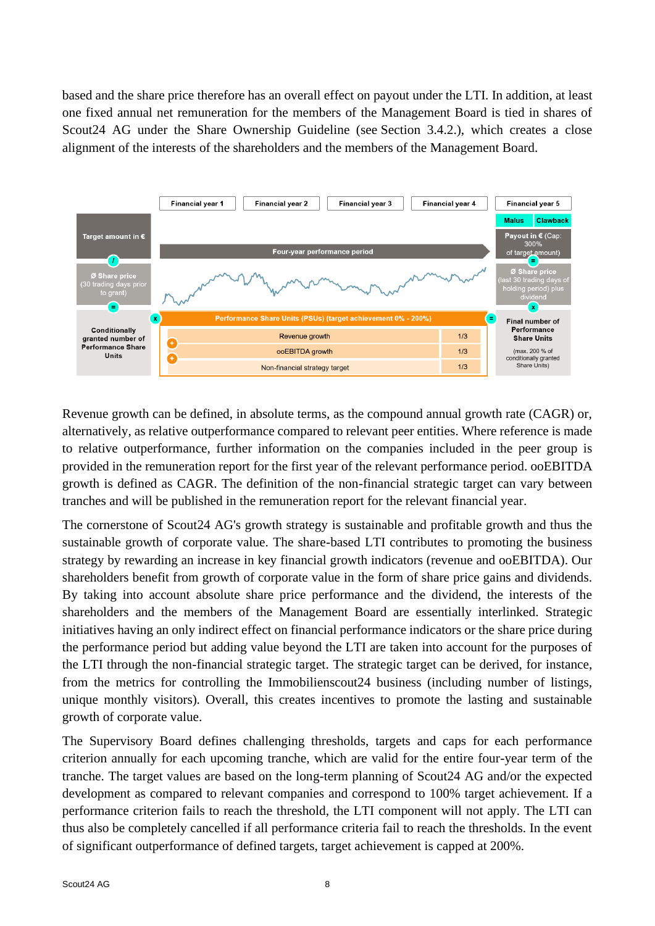based and the share price therefore has an overall effect on payout under the LTI. In addition, at least one fixed annual net remuneration for the members of the Management Board is tied in shares of Scout24 AG under the Share Ownership Guideline (see Section 3.4.2.), which creates a close alignment of the interests of the shareholders and the members of the Management Board.



Revenue growth can be defined, in absolute terms, as the compound annual growth rate (CAGR) or, alternatively, as relative outperformance compared to relevant peer entities. Where reference is made to relative outperformance, further information on the companies included in the peer group is provided in the remuneration report for the first year of the relevant performance period. ooEBITDA growth is defined as CAGR. The definition of the non-financial strategic target can vary between tranches and will be published in the remuneration report for the relevant financial year.

The cornerstone of Scout24 AG's growth strategy is sustainable and profitable growth and thus the sustainable growth of corporate value. The share-based LTI contributes to promoting the business strategy by rewarding an increase in key financial growth indicators (revenue and ooEBITDA). Our shareholders benefit from growth of corporate value in the form of share price gains and dividends. By taking into account absolute share price performance and the dividend, the interests of the shareholders and the members of the Management Board are essentially interlinked. Strategic initiatives having an only indirect effect on financial performance indicators or the share price during the performance period but adding value beyond the LTI are taken into account for the purposes of the LTI through the non-financial strategic target. The strategic target can be derived, for instance, from the metrics for controlling the Immobilienscout24 business (including number of listings, unique monthly visitors). Overall, this creates incentives to promote the lasting and sustainable growth of corporate value.

The Supervisory Board defines challenging thresholds, targets and caps for each performance criterion annually for each upcoming tranche, which are valid for the entire four-year term of the tranche. The target values are based on the long-term planning of Scout24 AG and/or the expected development as compared to relevant companies and correspond to 100% target achievement. If a performance criterion fails to reach the threshold, the LTI component will not apply. The LTI can thus also be completely cancelled if all performance criteria fail to reach the thresholds. In the event of significant outperformance of defined targets, target achievement is capped at 200%.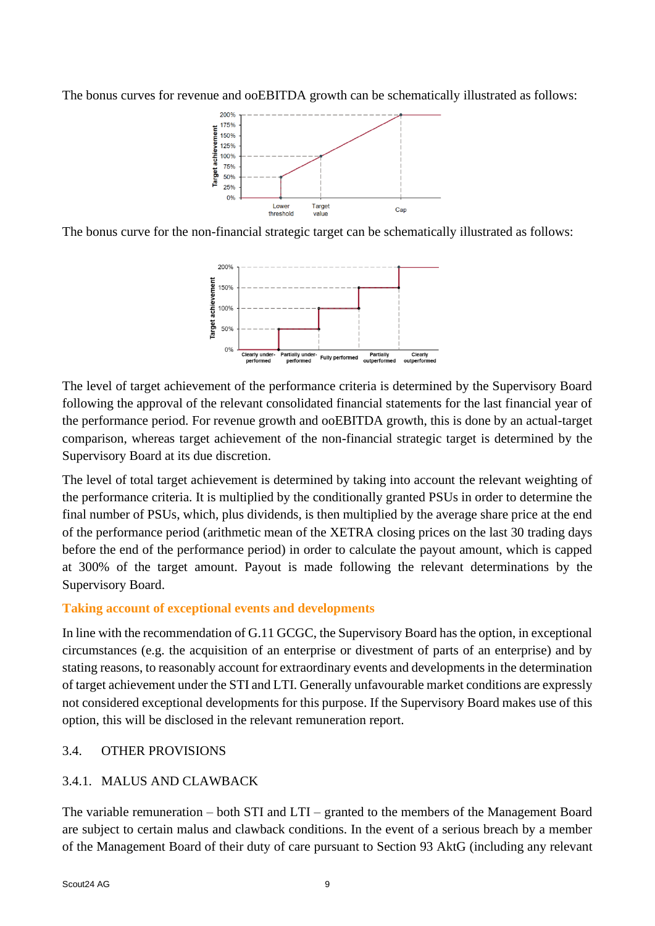The bonus curves for revenue and ooEBITDA growth can be schematically illustrated as follows:



The bonus curve for the non-financial strategic target can be schematically illustrated as follows:



The level of target achievement of the performance criteria is determined by the Supervisory Board following the approval of the relevant consolidated financial statements for the last financial year of the performance period. For revenue growth and ooEBITDA growth, this is done by an actual-target comparison, whereas target achievement of the non-financial strategic target is determined by the Supervisory Board at its due discretion.

The level of total target achievement is determined by taking into account the relevant weighting of the performance criteria. It is multiplied by the conditionally granted PSUs in order to determine the final number of PSUs, which, plus dividends, is then multiplied by the average share price at the end of the performance period (arithmetic mean of the XETRA closing prices on the last 30 trading days before the end of the performance period) in order to calculate the payout amount, which is capped at 300% of the target amount. Payout is made following the relevant determinations by the Supervisory Board.

### **Taking account of exceptional events and developments**

In line with the recommendation of G.11 GCGC, the Supervisory Board has the option, in exceptional circumstances (e.g. the acquisition of an enterprise or divestment of parts of an enterprise) and by stating reasons, to reasonably account for extraordinary events and developments in the determination of target achievement under the STI and LTI. Generally unfavourable market conditions are expressly not considered exceptional developments for this purpose. If the Supervisory Board makes use of this option, this will be disclosed in the relevant remuneration report.

### 3.4. OTHER PROVISIONS

# 3.4.1. MALUS AND CLAWBACK

The variable remuneration – both STI and LTI – granted to the members of the Management Board are subject to certain malus and clawback conditions. In the event of a serious breach by a member of the Management Board of their duty of care pursuant to Section 93 AktG (including any relevant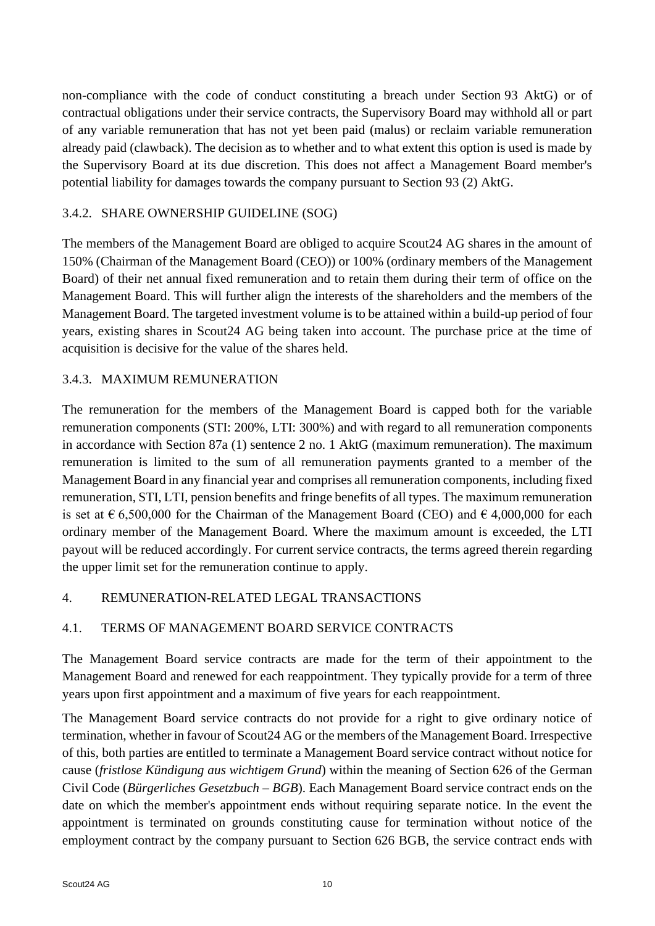non-compliance with the code of conduct constituting a breach under Section 93 AktG) or of contractual obligations under their service contracts, the Supervisory Board may withhold all or part of any variable remuneration that has not yet been paid (malus) or reclaim variable remuneration already paid (clawback). The decision as to whether and to what extent this option is used is made by the Supervisory Board at its due discretion. This does not affect a Management Board member's potential liability for damages towards the company pursuant to Section 93 (2) AktG.

## 3.4.2. SHARE OWNERSHIP GUIDELINE (SOG)

The members of the Management Board are obliged to acquire Scout24 AG shares in the amount of 150% (Chairman of the Management Board (CEO)) or 100% (ordinary members of the Management Board) of their net annual fixed remuneration and to retain them during their term of office on the Management Board. This will further align the interests of the shareholders and the members of the Management Board. The targeted investment volume is to be attained within a build-up period of four years, existing shares in Scout24 AG being taken into account. The purchase price at the time of acquisition is decisive for the value of the shares held.

## 3.4.3. MAXIMUM REMUNERATION

The remuneration for the members of the Management Board is capped both for the variable remuneration components (STI: 200%, LTI: 300%) and with regard to all remuneration components in accordance with Section 87a (1) sentence 2 no. 1 AktG (maximum remuneration). The maximum remuneration is limited to the sum of all remuneration payments granted to a member of the Management Board in any financial year and comprises all remuneration components, including fixed remuneration, STI, LTI, pension benefits and fringe benefits of all types. The maximum remuneration is set at  $\epsilon$  6,500,000 for the Chairman of the Management Board (CEO) and  $\epsilon$  4,000,000 for each ordinary member of the Management Board. Where the maximum amount is exceeded, the LTI payout will be reduced accordingly. For current service contracts, the terms agreed therein regarding the upper limit set for the remuneration continue to apply.

### 4. REMUNERATION-RELATED LEGAL TRANSACTIONS

### 4.1. TERMS OF MANAGEMENT BOARD SERVICE CONTRACTS

The Management Board service contracts are made for the term of their appointment to the Management Board and renewed for each reappointment. They typically provide for a term of three years upon first appointment and a maximum of five years for each reappointment.

The Management Board service contracts do not provide for a right to give ordinary notice of termination, whether in favour of Scout24 AG or the members of the Management Board. Irrespective of this, both parties are entitled to terminate a Management Board service contract without notice for cause (*fristlose Kündigung aus wichtigem Grund*) within the meaning of Section 626 of the German Civil Code (*Bürgerliches Gesetzbuch* – *BGB*). Each Management Board service contract ends on the date on which the member's appointment ends without requiring separate notice. In the event the appointment is terminated on grounds constituting cause for termination without notice of the employment contract by the company pursuant to Section 626 BGB, the service contract ends with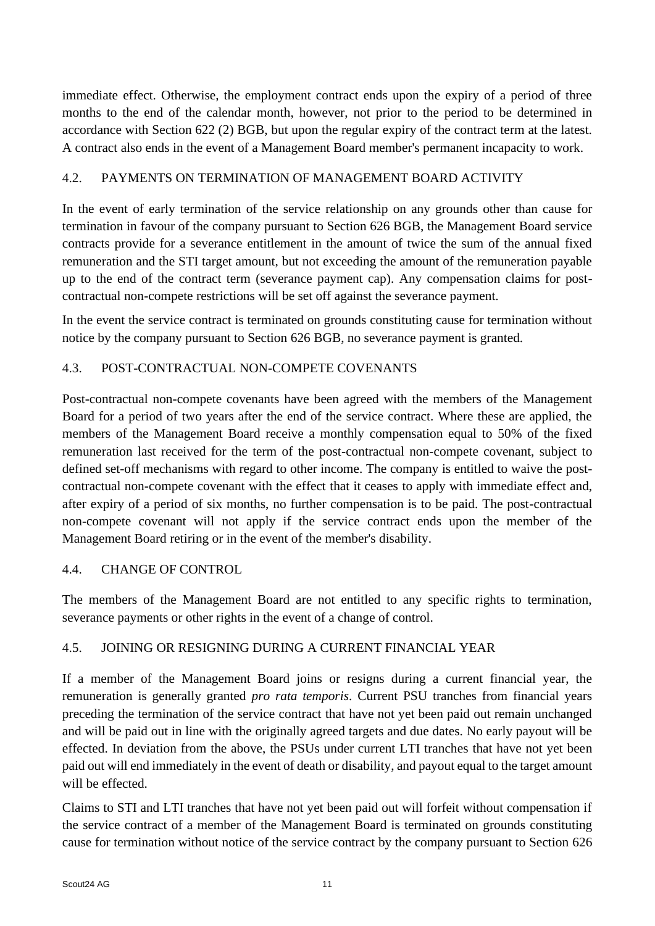immediate effect. Otherwise, the employment contract ends upon the expiry of a period of three months to the end of the calendar month, however, not prior to the period to be determined in accordance with Section 622 (2) BGB, but upon the regular expiry of the contract term at the latest. A contract also ends in the event of a Management Board member's permanent incapacity to work.

## 4.2. PAYMENTS ON TERMINATION OF MANAGEMENT BOARD ACTIVITY

In the event of early termination of the service relationship on any grounds other than cause for termination in favour of the company pursuant to Section 626 BGB, the Management Board service contracts provide for a severance entitlement in the amount of twice the sum of the annual fixed remuneration and the STI target amount, but not exceeding the amount of the remuneration payable up to the end of the contract term (severance payment cap). Any compensation claims for postcontractual non-compete restrictions will be set off against the severance payment.

In the event the service contract is terminated on grounds constituting cause for termination without notice by the company pursuant to Section 626 BGB, no severance payment is granted.

## 4.3. POST-CONTRACTUAL NON-COMPETE COVENANTS

Post-contractual non-compete covenants have been agreed with the members of the Management Board for a period of two years after the end of the service contract. Where these are applied, the members of the Management Board receive a monthly compensation equal to 50% of the fixed remuneration last received for the term of the post-contractual non-compete covenant, subject to defined set-off mechanisms with regard to other income. The company is entitled to waive the postcontractual non-compete covenant with the effect that it ceases to apply with immediate effect and, after expiry of a period of six months, no further compensation is to be paid. The post-contractual non-compete covenant will not apply if the service contract ends upon the member of the Management Board retiring or in the event of the member's disability.

### 4.4. CHANGE OF CONTROL

The members of the Management Board are not entitled to any specific rights to termination, severance payments or other rights in the event of a change of control.

# 4.5. JOINING OR RESIGNING DURING A CURRENT FINANCIAL YEAR

If a member of the Management Board joins or resigns during a current financial year, the remuneration is generally granted *pro rata temporis*. Current PSU tranches from financial years preceding the termination of the service contract that have not yet been paid out remain unchanged and will be paid out in line with the originally agreed targets and due dates. No early payout will be effected. In deviation from the above, the PSUs under current LTI tranches that have not yet been paid out will end immediately in the event of death or disability, and payout equal to the target amount will be effected.

Claims to STI and LTI tranches that have not yet been paid out will forfeit without compensation if the service contract of a member of the Management Board is terminated on grounds constituting cause for termination without notice of the service contract by the company pursuant to Section 626